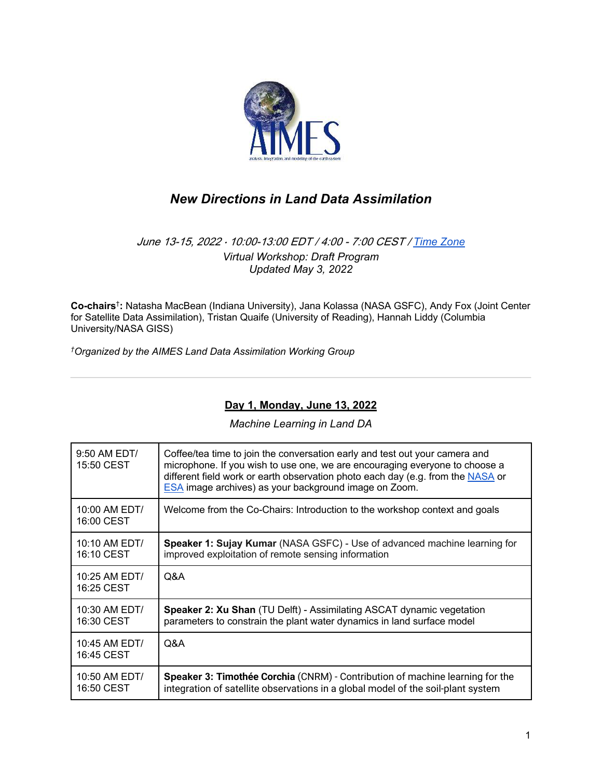

# *New Directions in Land Data Assimilation*

### June 13-15, 2022 · 10:00-13:00 EDT / 4:00 - 7:00 CEST / Time Zone *Virtual Workshop: Draft Program Updated May 3, 2022*

**Co-chairs**† **:** Natasha MacBean (Indiana University), Jana Kolassa (NASA GSFC), Andy Fox (Joint Center for Satellite Data Assimilation), Tristan Quaife (University of Reading), Hannah Liddy (Columbia University/NASA GISS)

*†Organized by the AIMES Land Data Assimilation Working Group*

### **Day 1, Monday, June 13, 2022**

*Machine Learning in Land DA*

| 9:50 AM EDT/<br>15:50 CEST  | Coffee/tea time to join the conversation early and test out your camera and<br>microphone. If you wish to use one, we are encouraging everyone to choose a<br>different field work or earth observation photo each day (e.g. from the NASA or<br>ESA image archives) as your background image on Zoom. |
|-----------------------------|--------------------------------------------------------------------------------------------------------------------------------------------------------------------------------------------------------------------------------------------------------------------------------------------------------|
| 10:00 AM EDT/<br>16:00 CEST | Welcome from the Co-Chairs: Introduction to the workshop context and goals                                                                                                                                                                                                                             |
| 10:10 AM EDT/<br>16:10 CEST | Speaker 1: Sujay Kumar (NASA GSFC) - Use of advanced machine learning for<br>improved exploitation of remote sensing information                                                                                                                                                                       |
| 10:25 AM EDT/<br>16:25 CEST | Q&A                                                                                                                                                                                                                                                                                                    |
| 10:30 AM EDT/<br>16:30 CEST | Speaker 2: Xu Shan (TU Delft) - Assimilating ASCAT dynamic vegetation<br>parameters to constrain the plant water dynamics in land surface model                                                                                                                                                        |
| 10:45 AM EDT/<br>16:45 CEST | Q&A                                                                                                                                                                                                                                                                                                    |
| 10:50 AM EDT/<br>16:50 CEST | Speaker 3: Timothée Corchia (CNRM) - Contribution of machine learning for the<br>integration of satellite observations in a global model of the soil-plant system                                                                                                                                      |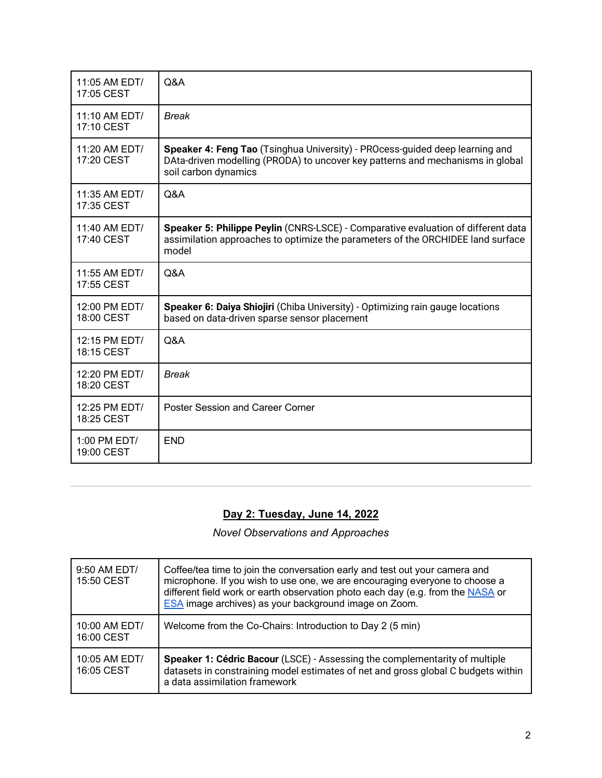| 11:05 AM EDT/<br>17:05 CEST  | Q&A                                                                                                                                                                                    |
|------------------------------|----------------------------------------------------------------------------------------------------------------------------------------------------------------------------------------|
| 11:10 AM EDT/<br>17:10 CEST  | <b>Break</b>                                                                                                                                                                           |
| 11:20 AM EDT/<br>17:20 CEST  | Speaker 4: Feng Tao (Tsinghua University) - PROcess-guided deep learning and<br>DAta-driven modelling (PRODA) to uncover key patterns and mechanisms in global<br>soil carbon dynamics |
| 11:35 AM EDT/<br>17:35 CEST  | Q&A                                                                                                                                                                                    |
| 11:40 AM EDT/<br>17:40 CEST  | Speaker 5: Philippe Peylin (CNRS-LSCE) - Comparative evaluation of different data<br>assimilation approaches to optimize the parameters of the ORCHIDEE land surface<br>model          |
| 11:55 AM EDT/<br>17:55 CEST  | Q&A                                                                                                                                                                                    |
| 12:00 PM EDT/<br>18:00 CEST  | Speaker 6: Daiya Shiojiri (Chiba University) - Optimizing rain gauge locations<br>based on data-driven sparse sensor placement                                                         |
| 12:15 PM EDT/<br>18:15 CEST  | Q&A                                                                                                                                                                                    |
| 12:20 PM EDT/<br>18:20 CEST  | <b>Break</b>                                                                                                                                                                           |
| 12:25 PM EDT/<br>18:25 CEST  | <b>Poster Session and Career Corner</b>                                                                                                                                                |
| $1:00$ PM EDT/<br>19:00 CEST | <b>END</b>                                                                                                                                                                             |

# **Day 2: Tuesday, June 14, 2022**

*Novel Observations and Approaches* 

| 9:50 AM EDT/<br>15:50 CEST  | Coffee/tea time to join the conversation early and test out your camera and<br>microphone. If you wish to use one, we are encouraging everyone to choose a<br>different field work or earth observation photo each day (e.g. from the NASA or<br>ESA image archives) as your background image on Zoom. |
|-----------------------------|--------------------------------------------------------------------------------------------------------------------------------------------------------------------------------------------------------------------------------------------------------------------------------------------------------|
| 10:00 AM EDT/<br>16:00 CEST | Welcome from the Co-Chairs: Introduction to Day 2 (5 min)                                                                                                                                                                                                                                              |
| 10:05 AM EDT/<br>16:05 CEST | Speaker 1: Cédric Bacour (LSCE) - Assessing the complementarity of multiple<br>datasets in constraining model estimates of net and gross global C budgets within<br>a data assimilation framework                                                                                                      |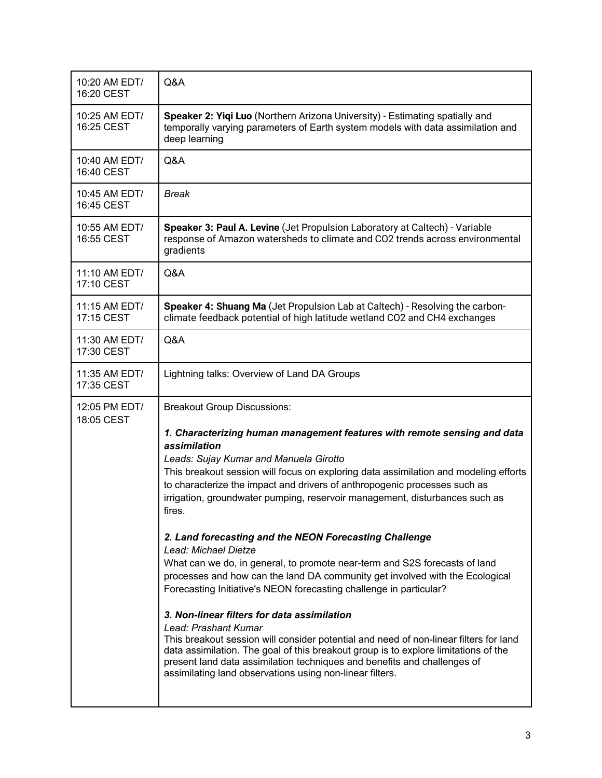| 10:20 AM EDT/<br>16:20 CEST | Q&A                                                                                                                                                                                                                                                                                                                                                                                                                                                                                                                                                                                                                                                                                                                                                                                                                                                                                                                                                                                                                                                                                                                                                         |
|-----------------------------|-------------------------------------------------------------------------------------------------------------------------------------------------------------------------------------------------------------------------------------------------------------------------------------------------------------------------------------------------------------------------------------------------------------------------------------------------------------------------------------------------------------------------------------------------------------------------------------------------------------------------------------------------------------------------------------------------------------------------------------------------------------------------------------------------------------------------------------------------------------------------------------------------------------------------------------------------------------------------------------------------------------------------------------------------------------------------------------------------------------------------------------------------------------|
| 10:25 AM EDT/<br>16:25 CEST | Speaker 2: Yiqi Luo (Northern Arizona University) - Estimating spatially and<br>temporally varying parameters of Earth system models with data assimilation and<br>deep learning                                                                                                                                                                                                                                                                                                                                                                                                                                                                                                                                                                                                                                                                                                                                                                                                                                                                                                                                                                            |
| 10:40 AM EDT/<br>16:40 CEST | Q&A                                                                                                                                                                                                                                                                                                                                                                                                                                                                                                                                                                                                                                                                                                                                                                                                                                                                                                                                                                                                                                                                                                                                                         |
| 10:45 AM EDT/<br>16:45 CEST | <b>Break</b>                                                                                                                                                                                                                                                                                                                                                                                                                                                                                                                                                                                                                                                                                                                                                                                                                                                                                                                                                                                                                                                                                                                                                |
| 10:55 AM EDT/<br>16:55 CEST | Speaker 3: Paul A. Levine (Jet Propulsion Laboratory at Caltech) - Variable<br>response of Amazon watersheds to climate and CO2 trends across environmental<br>gradients                                                                                                                                                                                                                                                                                                                                                                                                                                                                                                                                                                                                                                                                                                                                                                                                                                                                                                                                                                                    |
| 11:10 AM EDT/<br>17:10 CEST | Q&A                                                                                                                                                                                                                                                                                                                                                                                                                                                                                                                                                                                                                                                                                                                                                                                                                                                                                                                                                                                                                                                                                                                                                         |
| 11:15 AM EDT/<br>17:15 CEST | Speaker 4: Shuang Ma (Jet Propulsion Lab at Caltech) - Resolving the carbon-<br>climate feedback potential of high latitude wetland CO2 and CH4 exchanges                                                                                                                                                                                                                                                                                                                                                                                                                                                                                                                                                                                                                                                                                                                                                                                                                                                                                                                                                                                                   |
| 11:30 AM EDT/<br>17:30 CEST | Q&A                                                                                                                                                                                                                                                                                                                                                                                                                                                                                                                                                                                                                                                                                                                                                                                                                                                                                                                                                                                                                                                                                                                                                         |
| 11:35 AM EDT/<br>17:35 CEST | Lightning talks: Overview of Land DA Groups                                                                                                                                                                                                                                                                                                                                                                                                                                                                                                                                                                                                                                                                                                                                                                                                                                                                                                                                                                                                                                                                                                                 |
| 12:05 PM EDT/<br>18:05 CEST | <b>Breakout Group Discussions:</b><br>1. Characterizing human management features with remote sensing and data<br>assimilation<br>Leads: Sujay Kumar and Manuela Girotto<br>This breakout session will focus on exploring data assimilation and modeling efforts<br>to characterize the impact and drivers of anthropogenic processes such as<br>irrigation, groundwater pumping, reservoir management, disturbances such as<br>fires.<br>2. Land forecasting and the NEON Forecasting Challenge<br>Lead: Michael Dietze<br>What can we do, in general, to promote near-term and S2S forecasts of land<br>processes and how can the land DA community get involved with the Ecological<br>Forecasting Initiative's NEON forecasting challenge in particular?<br>3. Non-linear filters for data assimilation<br>Lead: Prashant Kumar<br>This breakout session will consider potential and need of non-linear filters for land<br>data assimilation. The goal of this breakout group is to explore limitations of the<br>present land data assimilation techniques and benefits and challenges of<br>assimilating land observations using non-linear filters. |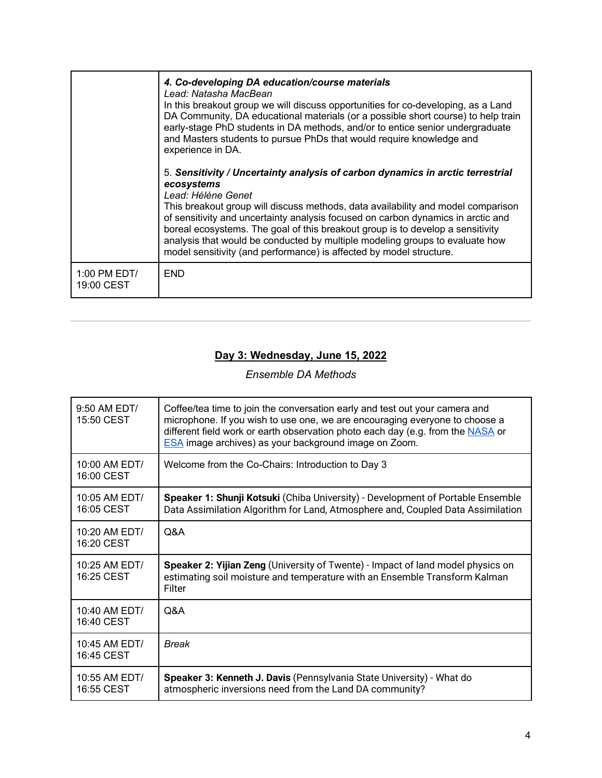|                            | 4. Co-developing DA education/course materials<br>Lead: Natasha MacBean<br>In this breakout group we will discuss opportunities for co-developing, as a Land<br>DA Community, DA educational materials (or a possible short course) to help train<br>early-stage PhD students in DA methods, and/or to entice senior undergraduate<br>and Masters students to pursue PhDs that would require knowledge and<br>experience in DA.                                                                                                     |
|----------------------------|-------------------------------------------------------------------------------------------------------------------------------------------------------------------------------------------------------------------------------------------------------------------------------------------------------------------------------------------------------------------------------------------------------------------------------------------------------------------------------------------------------------------------------------|
|                            | 5. Sensitivity / Uncertainty analysis of carbon dynamics in arctic terrestrial<br>ecosystems<br>Lead: Hélène Genet<br>This breakout group will discuss methods, data availability and model comparison<br>of sensitivity and uncertainty analysis focused on carbon dynamics in arctic and<br>boreal ecosystems. The goal of this breakout group is to develop a sensitivity<br>analysis that would be conducted by multiple modeling groups to evaluate how<br>model sensitivity (and performance) is affected by model structure. |
| 1:00 PM EDT/<br>19:00 CEST | <b>END</b>                                                                                                                                                                                                                                                                                                                                                                                                                                                                                                                          |

### **Day 3: Wednesday, June 15, 2022**

## *Ensemble DA Methods*

| 9:50 AM EDT/<br>15:50 CEST    | Coffee/tea time to join the conversation early and test out your camera and<br>microphone. If you wish to use one, we are encouraging everyone to choose a<br>different field work or earth observation photo each day (e.g. from the NASA or<br><b>ESA</b> image archives) as your background image on Zoom. |
|-------------------------------|---------------------------------------------------------------------------------------------------------------------------------------------------------------------------------------------------------------------------------------------------------------------------------------------------------------|
| $10:00$ AM EDT/<br>16:00 CEST | Welcome from the Co-Chairs: Introduction to Day 3                                                                                                                                                                                                                                                             |
| 10:05 AM EDT/<br>16:05 CEST   | Speaker 1: Shunji Kotsuki (Chiba University) - Development of Portable Ensemble<br>Data Assimilation Algorithm for Land, Atmosphere and, Coupled Data Assimilation                                                                                                                                            |
| $10:20$ AM EDT/<br>16:20 CEST | Q&A                                                                                                                                                                                                                                                                                                           |
| 10:25 AM EDT/<br>16:25 CEST   | Speaker 2: Yijian Zeng (University of Twente) - Impact of land model physics on<br>estimating soil moisture and temperature with an Ensemble Transform Kalman<br>Filter                                                                                                                                       |
| $10:40$ AM EDT/<br>16:40 CEST | Q&A                                                                                                                                                                                                                                                                                                           |
| 10:45 AM EDT/<br>16:45 CEST   | <b>Break</b>                                                                                                                                                                                                                                                                                                  |
| 10:55 AM EDT/<br>16:55 CEST   | Speaker 3: Kenneth J. Davis (Pennsylvania State University) - What do<br>atmospheric inversions need from the Land DA community?                                                                                                                                                                              |